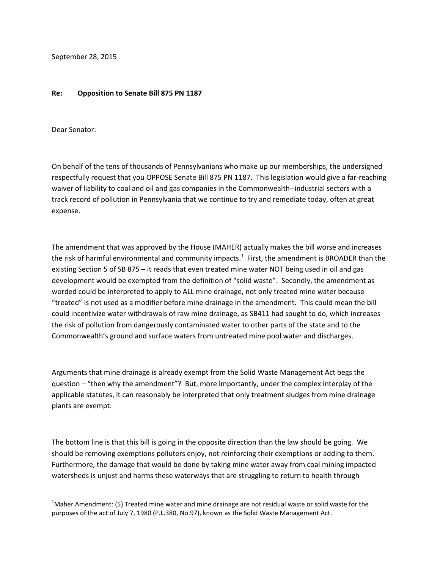September 28, 2015

## **Re: Opposition to Senate Bill 875 PN 1187**

Dear Senator:

l

On behalf of the tens of thousands of Pennsylvanians who make up our memberships, the undersigned respectfully request that you OPPOSE Senate Bill 875 PN 1187. This legislation would give a far-reaching waiver of liability to coal and oil and gas companies in the Commonwealth--industrial sectors with a track record of pollution in Pennsylvania that we continue to try and remediate today, often at great expense.

The amendment that was approved by the House (MAHER) actually makes the bill worse and increases the risk of harmful environmental and community impacts.<sup>1</sup> First, the amendment is BROADER than the existing Section 5 of SB 875 – it reads that even treated mine water NOT being used in oil and gas development would be exempted from the definition of "solid waste". Secondly, the amendment as worded could be interpreted to apply to ALL mine drainage, not only treated mine water because "treated" is not used as a modifier before mine drainage in the amendment. This could mean the bill could incentivize water withdrawals of raw mine drainage, as SB411 had sought to do, which increases the risk of pollution from dangerously contaminated water to other parts of the state and to the Commonwealth's ground and surface waters from untreated mine pool water and discharges.

Arguments that mine drainage is already exempt from the Solid Waste Management Act begs the question – "then why the amendment"? But, more importantly, under the complex interplay of the applicable statutes, it can reasonably be interpreted that only treatment sludges from mine drainage plants are exempt.

The bottom line is that this bill is going in the opposite direction than the law should be going. We should be removing exemptions polluters enjoy, not reinforcing their exemptions or adding to them. Furthermore, the damage that would be done by taking mine water away from coal mining impacted watersheds is unjust and harms these waterways that are struggling to return to health through

 $1$ Maher Amendment: (5) Treated mine water and mine drainage are not residual waste or solid waste for the purposes of the act of July 7, 1980 (P.L.380, No.97), known as the Solid Waste Management Act.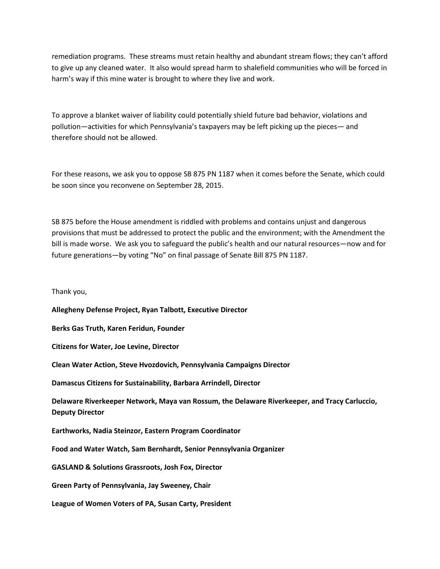remediation programs. These streams must retain healthy and abundant stream flows; they can't afford to give up any cleaned water. It also would spread harm to shalefield communities who will be forced in harm's way if this mine water is brought to where they live and work.

To approve a blanket waiver of liability could potentially shield future bad behavior, violations and pollution—activities for which Pennsylvania's taxpayers may be left picking up the pieces— and therefore should not be allowed.

For these reasons, we ask you to oppose SB 875 PN 1187 when it comes before the Senate, which could be soon since you reconvene on September 28, 2015.

SB 875 before the House amendment is riddled with problems and contains unjust and dangerous provisions that must be addressed to protect the public and the environment; with the Amendment the bill is made worse. We ask you to safeguard the public's health and our natural resources—now and for future generations—by voting "No" on final passage of Senate Bill 875 PN 1187.

Thank you,

**Allegheny Defense Project, Ryan Talbott, Executive Director**

**Berks Gas Truth, Karen Feridun, Founder**

**Citizens for Water, Joe Levine, Director**

**Clean Water Action, Steve Hvozdovich, Pennsylvania Campaigns Director**

**Damascus Citizens for Sustainability, Barbara Arrindell, Director**

**Delaware Riverkeeper Network, Maya van Rossum, the Delaware Riverkeeper, and Tracy Carluccio, Deputy Director**

**Earthworks, Nadia Steinzor, Eastern Program Coordinator**

**Food and Water Watch, Sam Bernhardt, Senior Pennsylvania Organizer**

**GASLAND & Solutions Grassroots, Josh Fox, Director**

**Green Party of Pennsylvania, Jay Sweeney, Chair**

**League of Women Voters of PA, Susan Carty, President**